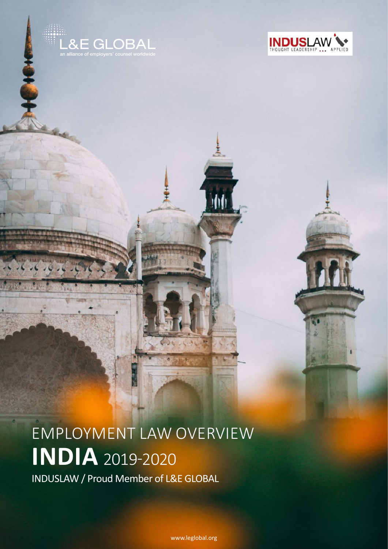

Į



employment law overview **india** 2019-2020

INDUSLAW / Proud Member of L&E GLOBAL

[www.leglobal.org](http://www.leglobal.org)

M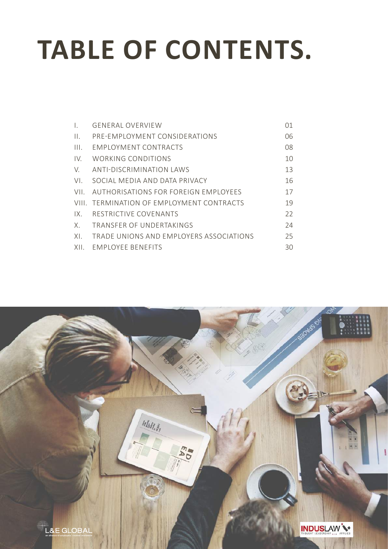# **TABLE OF CONTENTS.**

|      | GENERAL OVERVIEW                          | 01 |
|------|-------------------------------------------|----|
| Ш.   | PRE-EMPLOYMENT CONSIDERATIONS             | 06 |
| III. | EMPLOYMENT CONTRACTS                      | 08 |
| IV.  | WORKING CONDITIONS                        | 10 |
| V.   | ANTI-DISCRIMINATION LAWS                  | 13 |
| VI.  | SOCIAL MEDIA AND DATA PRIVACY             | 16 |
| VII  | AUTHORISATIONS FOR FORFIGN EMPLOYEES      | 17 |
|      | VIII. TERMINATION OF EMPLOYMENT CONTRACTS | 19 |
| 1X   | RESTRICTIVE COVENANTS                     | 22 |
| Χ.   | TRANSFFR OF UNDERTAKINGS                  | 24 |
| XI.  | TRADE UNIONS AND EMPLOYERS ASSOCIATIONS   | 25 |
| XII. | <b>FMPLOYEE BENEFITS</b>                  | 30 |

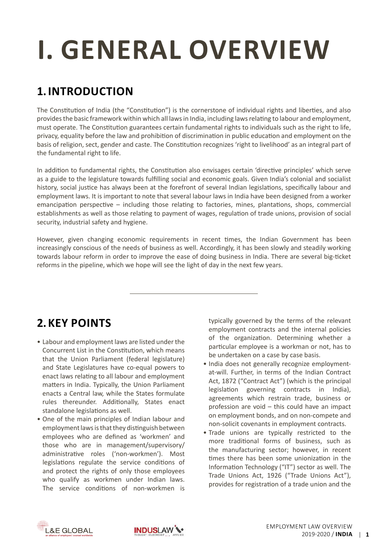# <span id="page-2-0"></span>**i. general overview**

## **1. Introduction**

The Constitution of India (the "Constitution") is the cornerstone of individual rights and liberties, and also providesthe basic framework within which all lawsin India, including lawsrelating to labour and employment, must operate. The Constitution guarantees certain fundamental rights to individuals such as the right to life, privacy, equality before the law and prohibition of discrimination in public education and employment on the basis of religion, sect, gender and caste. The Constitution recognizes 'right to livelihood' as an integral part of the fundamental right to life.

In addition to fundamental rights, the Constitution also envisages certain 'directive principles' which serve as a guide to the legislature towards fulfilling social and economic goals. Given India's colonial and socialist history, social justice has always been at the forefront of several Indian legislations, specifically labour and employment laws. It is important to note that several labour laws in India have been designed from a worker emancipation perspective – including those relating to factories, mines, plantations, shops, commercial establishments as well as those relating to payment of wages, regulation of trade unions, provision of social security, industrial safety and hygiene.

However, given changing economic requirements in recent times, the Indian Government has been increasingly conscious of the needs of business as well. Accordingly, it has been slowly and steadily working towards labour reform in order to improve the ease of doing business in India. There are several big-ticket reforms in the pipeline, which we hope will see the light of day in the next few years.

## **2.Key Points**

- Labour and employment laws are listed under the Concurrent List in the Constitution, which means that the Union Parliament (federal legislature) and State Legislatures have co-equal powers to enact laws relating to all labour and employment matters in India. Typically, the Union Parliament enacts a Central law, while the States formulate rules thereunder. Additionally, States enact standalone legislations as well.
- One of the main principles of Indian labour and employment laws is that they distinguish between employees who are defined as 'workmen' and those who are in management/supervisory/ administrative roles ('non-workmen'). Most legislations regulate the service conditions of and protect the rights of only those employees who qualify as workmen under Indian laws. The service conditions of non-workmen is

typically governed by the terms of the relevant employment contracts and the internal policies of the organization. Determining whether a particular employee is a workman or not, has to be undertaken on a case by case basis.

- India does not generally recognize employmentat-will. Further, in terms of the Indian Contract Act, 1872 ("Contract Act") (which is the principal legislation governing contracts in India), agreements which restrain trade, business or profession are void – this could have an impact on employment bonds, and on non-compete and non-solicit covenants in employment contracts.
- Trade unions are typically restricted to the more traditional forms of business, such as the manufacturing sector; however, in recent times there has been some unionization in the Information Technology ("IT") sector as well. The Trade Unions Act, 1926 ("Trade Unions Act"), provides for registration of a trade union and the



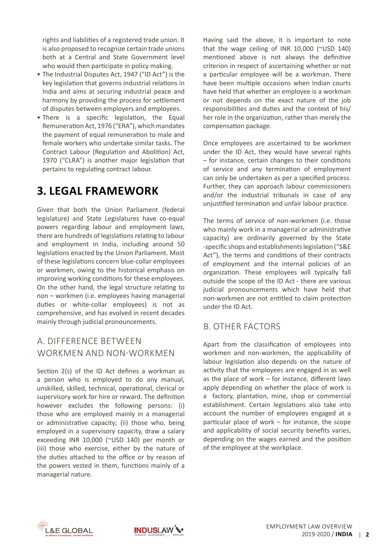rights and liabilities of a registered trade union. It is also proposed to recognize certain trade unions both at a Central and State Government level who would then participate in policy making.

- The Industrial Disputes Act, 1947 ("ID Act") is the key legislation that governs industrial relations in India and aims at securing industrial peace and harmony by providing the process for settlement of disputes between employers and employees.
- There is a specific legislation, the Equal Remuneration Act, 1976 ("ERA"), which mandates the payment of equal remuneration to male and female workers who undertake similar tasks. The Contract Labour (Regulation and Abolition) Act, 1970 ("CLRA") is another major legislation that pertains to regulating contract labour.

## **3. Legal Framework**

Given that both the Union Parliament (federal legislature) and State Legislatures have co-equal powers regarding labour and employment laws, there are hundreds of legislations relating to labour and employment in India, including around 50 legislations enacted by the Union Parliament. Most of these legislations concern blue-collar employees or workmen, owing to the historical emphasis on improving working conditions for these employees. On the other hand, the legal structure relating to non – workmen (i.e. employees having managerial duties or white-collar employees) is not as comprehensive, and has evolved in recent decades mainly through judicial pronouncements.

#### a. Difference Between Workmen and Non-Workmen

Section 2(s) of the ID Act defines a workman as a person who is employed to do any manual, unskilled, skilled, technical, operational, clerical or supervisory work for hire or reward. The definition however excludes the following persons: (i) those who are employed mainly in a managerial or administrative capacity; (ii) those who, being employed in a supervisory capacity, draw a salary exceeding INR 10,000 (~USD 140) per month or (iii) those who exercise, either by the nature of the duties attached to the office or by reason of the powers vested in them, functions mainly of a managerial nature.

Having said the above, it is important to note that the wage ceiling of INR 10,000 (~USD 140) mentioned above is not always the definitive criterion in respect of ascertaining whether or not a particular employee will be a workman. There have been multiple occasions when Indian courts have held that whether an employee is a workman or not depends on the exact nature of the job responsibilities and duties and the context of his/ her role in the organization, rather than merely the compensation package.

Once employees are ascertained to be workmen under the ID Act, they would have several rights – for instance, certain changes to their conditions of service and any termination of employment can only be undertaken as per a specified process. Further, they can approach labour commissioners and/or the industrial tribunals in case of any unjustified termination and unfair labour practice.

The terms of service of non-workmen (i.e. those who mainly work in a managerial or administrative capacity) are ordinarily governed by the State -specific shops and establishmentslegislation ("S&E Act"), the terms and conditions of their contracts of employment and the internal policies of an organization. These employees will typically fall outside the scope of the ID Act - there are various judicial pronouncements which have held that non-workmen are not entitled to claim protection under the ID Act.

#### b. Other Factors

Apart from the classification of employees into workmen and non-workmen, the applicability of labour legislation also depends on the nature of activity that the employees are engaged in as well as the place of work – for instance, different laws apply depending on whether the place of work is a factory, plantation, mine, shop or commercial establishment. Certain legislations also take into account the number of employees engaged at a particular place of work – for instance, the scope and applicability of social security benefits varies, depending on the wages earned and the position of the employee at the workplace.



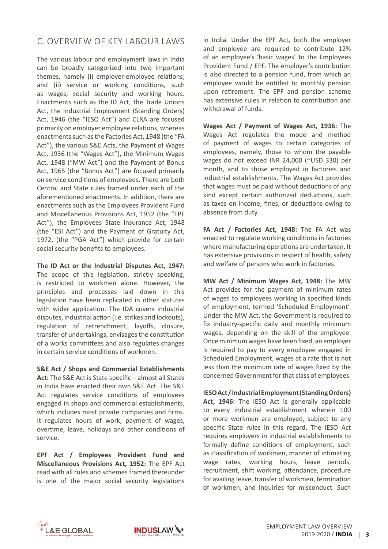#### c. Overview of Key Labour Laws

The various labour and employment laws in India can be broadly categorized into two important themes, namely (i) employer-employee relations; and (ii) service or working conditions, such as wages, social security and working hours. Enactments such as the ID Act, the Trade Unions Act, the Industrial Employment (Standing Orders) Act, 1946 (the "IESO Act") and CLRA are focused primarily on employer employee relations, whereas enactments such as the Factories Act, 1948 (the "FA Act"), the various S&E Acts, the Payment of Wages Act, 1936 (the "Wages Act"), the Minimum Wages Act, 1948 ("MW Act") and the Payment of Bonus Act, 1965 (the "Bonus Act") are focused primarily on service conditions of employees. There are both Central and State rules framed under each of the aforementioned enactments. In addition, there are enactments such as the Employees Provident Fund and Miscellaneous Provisions Act, 1952 (the "EPF Act"), the Employees State Insurance Act, 1948 (the "ESI Act") and the Payment of Gratuity Act, 1972, (the "PGA Act") which provide for certain social security benefits to employees.

**The ID Act or the Industrial Disputes Act, 1947:**  The scope of this legislation, strictly speaking, is restricted to workmen alone. However, the principles and processes laid down in this legislation have been replicated in other statutes with wider application. The IDA covers industrial disputes, industrial action (i.e. strikes and lockouts), regulation of retrenchment, layoffs, closure, transfer of undertakings, envisages the constitution of a works committees and also regulates changes in certain service conditions of workmen.

**S&E Act / Shops and Commercial Establishments Act:** The S&E Act is State specific – almost all States in India have enacted their own S&E Act. The S&E Act regulates service conditions of employees engaged in shops and commercial establishments, which includes most private companies and firms. It regulates hours of work, payment of wages, overtime, leave, holidays and other conditions of service.

**EPF Act / Employees Provident Fund and Miscellaneous Provisions Act, 1952:** The EPF Act read with all rules and schemes framed thereunder is one of the major social security legislations in India. Under the EPF Act, both the employer and employee are required to contribute 12% of an employee's 'basic wages' to the Employees Provident Fund / EPF. The employer's contribution is also directed to a pension fund, from which an employee would be entitled to monthly pension upon retirement. The EPF and pension scheme has extensive rules in relation to contribution and withdrawal of funds.

**Wages Act / Payment of Wages Act, 1936:** The Wages Act regulates the mode and method of payment of wages to certain categories of employees, namely, those to whom the payable wages do not exceed INR 24,000 (~USD 330) per month, and to those employed in factories and industrial establishments. The Wages Act provides that wages must be paid without deductions of any kind except certain authorized deductions, such as taxes on income, fines, or deductions owing to absence from duty.

**FA Act / Factories Act, 1948:** The FA Act was enacted to regulate working conditions in factories where manufacturing operations are undertaken. It has extensive provisions in respect of health, safety and welfare of persons who work in factories.

**MW Act / Minimum Wages Act, 1948:** The MW Act provides for the payment of minimum rates of wages to employees working in specified kinds of employment, termed 'Scheduled Employment'. Under the MW Act, the Government is required to fix industry-specific daily and monthly minimum wages, depending on the skill of the employee. Once minimum wages have been fixed, an employer is required to pay to every employee engaged in Scheduled Employment, wages at a rate that is not less than the minimum rate of wages fixed by the concerned Government for that class of employees.

**IESOAct / Industrial Employment (Standing Orders) Act, 1946:** The IESO Act is generally applicable to every industrial establishment wherein 100 or more workmen are employed, subject to any specific State rules in this regard. The IESO Act requires employers in industrial establishments to formally define conditions of employment, such as classification of workmen, manner of intimating wage rates, working hours, leave periods, recruitment, shift working, attendance, procedure for availing leave, transfer of workmen, termination of workmen, and inquiries for misconduct. Such



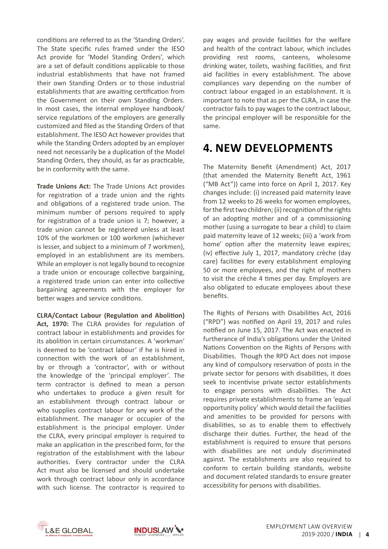conditions are referred to as the 'Standing Orders'. The State specific rules framed under the IESO Act provide for 'Model Standing Orders', which are a set of default conditions applicable to those industrial establishments that have not framed their own Standing Orders or to those industrial establishments that are awaiting certification from the Government on their own Standing Orders. In most cases, the internal employee handbook/ service regulations of the employers are generally customized and filed as the Standing Orders of that establishment. The IESO Act however provides that while the Standing Orders adopted by an employer need not necessarily be a duplication of the Model Standing Orders, they should, as far as practicable, be in conformity with the same.

**Trade Unions Act:** The Trade Unions Act provides for registration of a trade union and the rights and obligations of a registered trade union. The minimum number of persons required to apply for registration of a trade union is 7; however, a trade union cannot be registered unless at least 10% of the workmen or 100 workmen (whichever is lesser, and subject to a minimum of 7 workmen), employed in an establishment are its members. While an employer is not legally bound to recognize a trade union or encourage collective bargaining, a registered trade union can enter into collective bargaining agreements with the employer for better wages and service conditions.

**CLRA/Contact Labour (Regulation and Abolition)**  Act, 1970: The CLRA provides for regulation of contract labour in establishments and provides for its abolition in certain circumstances. A 'workman' is deemed to be 'contract labour' if he is hired in connection with the work of an establishment, by or through a 'contractor', with or without the knowledge of the 'principal employer'. The term contractor is defined to mean a person who undertakes to produce a given result for an establishment through contract labour or who supplies contract labour for any work of the establishment. The manager or occupier of the establishment is the principal employer. Under the CLRA, every principal employer is required to make an application in the prescribed form, for the registration of the establishment with the labour authorities. Every contractor under the CLRA Act must also be licensed and should undertake work through contract labour only in accordance with such license. The contractor is required to

pay wages and provide facilities for the welfare and health of the contract labour, which includes providing rest rooms, canteens, wholesome drinking water, toilets, washing facilities, and first aid facilities in every establishment. The above compliances vary depending on the number of contract labour engaged in an establishment. It is important to note that as per the CLRA, in case the contractor fails to pay wages to the contract labour, the principal employer will be responsible for the same.

### **4. New Developments**

The Maternity Benefit (Amendment) Act, 2017 (that amended the Maternity Benefit Act, 1961 ("MB Act")) came into force on April 1, 2017. Key changes include: (i) increased paid maternity leave from 12 weeks to 26 weeks for women employees, for the first two children; (ii) recognition of the rights of an adopting mother and of a commissioning mother (using a surrogate to bear a child) to claim paid maternity leave of 12 weeks; (iii) a 'work from home' option after the maternity leave expires; (iv) effective July 1, 2017, mandatory crèche (day care) facilities for every establishment employing 50 or more employees, and the right of mothers to visit the crèche 4 times per day. Employers are also obligated to educate employees about these benefits.

The Rights of Persons with Disabilities Act, 2016 ("RPD") was notified on April 19, 2017 and rules notified on June 15, 2017. The Act was enacted in furtherance of India's obligations under the United Nations Convention on the Rights of Persons with Disabilities. Though the RPD Act does not impose any kind of compulsory reservation of posts in the private sector for persons with disabilities, it does seek to incentivise private sector establishments to engage persons with disabilities. The Act requires private establishments to frame an 'equal opportunity policy' which would detail the facilities and amenities to be provided for persons with disabilities, so as to enable them to effectively discharge their duties. Further, the head of the establishment is required to ensure that persons with disabilities are not unduly discriminated against. The establishments are also required to conform to certain building standards, website and document related standards to ensure greater accessibility for persons with disabilities.



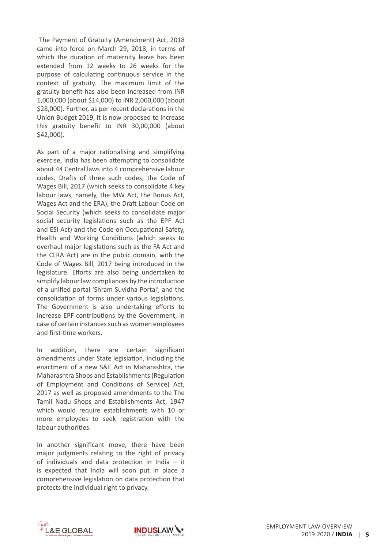The Payment of Gratuity (Amendment) Act, 2018 came into force on March 29, 2018, in terms of which the duration of maternity leave has been extended from 12 weeks to 26 weeks for the purpose of calculating continuous service in the context of gratuity. The maximum limit of the gratuity benefit has also been increased from INR 1,000,000 (about \$14,000) to INR 2,000,000 (about \$28,000). Further, as per recent declarations in the Union Budget 2019, it is now proposed to increase this gratuity benefit to INR 30,00,000 (about \$42,000).

As part of a major rationalising and simplifying exercise, India has been attempting to consolidate about 44 Central laws into 4 comprehensive labour codes. Drafts of three such codes, the Code of Wages Bill, 2017 (which seeks to consolidate 4 key labour laws, namely, the MW Act, the Bonus Act, Wages Act and the ERA), the Draft Labour Code on Social Security (which seeks to consolidate major social security legislations such as the EPF Act and ESI Act) and the Code on Occupational Safety, Health and Working Conditions (which seeks to overhaul major legislations such as the FA Act and the CLRA Act) are in the public domain, with the Code of Wages Bill, 2017 being introduced in the legislature. Efforts are also being undertaken to simplify labour law compliances by the introduction of a unified portal 'Shram Suvidha Portal', and the consolidation of forms under various legislations. The Government is also undertaking efforts to increase EPF contributions by the Government, in case of certain instances such as women employees and first-time workers.

In addition, there are certain significant amendments under State legislation, including the enactment of a new S&E Act in Maharashtra, the Maharashtra Shops and Establishments(Regulation of Employment and Conditions of Service) Act, 2017 as well as proposed amendments to the The Tamil Nadu Shops and Establishments Act, 1947 which would require establishments with 10 or more employees to seek registration with the labour authorities.

In another significant move, there have been major judgments relating to the right of privacy of individuals and data protection in India – it is expected that India will soon put in place a comprehensive legislation on data protection that protects the individual right to privacy.



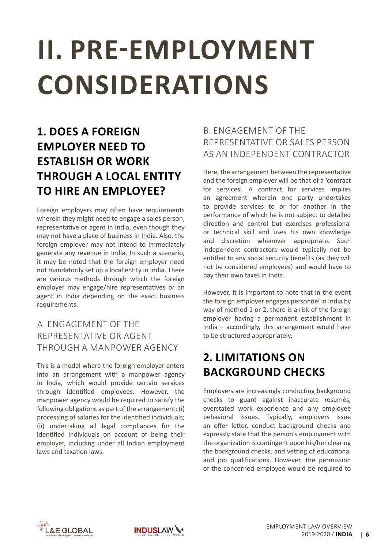# <span id="page-7-0"></span>**iI. PRE-EMPLOYMENT CONSIDERATIONS**

## **1. Does a Foreign Employer need to Establish or Work through a Local Entity to Hire an Employee?**

Foreign employers may often have requirements wherein they might need to engage a sales person, representative or agent in India, even though they may not have a place of business in India. Also, the foreign employer may not intend to immediately generate any revenue in India. In such a scenario, it may be noted that the foreign employer need not mandatorily set up a local entity in India. There are various methods through which the foreign employer may engage/hire representatives or an agent in India depending on the exact business requirements.

### a. Engagement of the Representative or Agent through a Manpower Agency

This is a model where the foreign employer enters into an arrangement with a manpower agency in India, which would provide certain services through identified employees. However, the manpower agency would be required to satisfy the following obligations as part of the arrangement: (i) processing of salaries for the identified individuals; (ii) undertaking all legal compliances for the identified individuals on account of being their employer, including under all Indian employment laws and taxation laws.

### b. Engagement of the Representative or Sales Person as an Independent Contractor

Here, the arrangement between the representative and the foreign employer will be that of a 'contract for services'. A contract for services implies an agreement wherein one party undertakes to provide services to or for another in the performance of which he is not subject to detailed direction and control but exercises professional or technical skill and uses his own knowledge and discretion whenever appropriate. Such independent contractors would typically not be entitled to any social security benefits (as they will not be considered employees) and would have to pay their own taxes in India.

However, it is important to note that in the event the foreign employer engages personnel in India by way of method 1 or 2, there is a risk of the foreign employer having a permanent establishment in India – accordingly, this arrangement would have to be structured appropriately.

## **2. Limitations on Background Checks**

Employers are increasingly conducting background checks to guard against inaccurate resumés, overstated work experience and any employee behavioral issues. Typically, employers issue an offer letter, conduct background checks and expressly state that the person's employment with the organization is contingent upon his/her clearing the background checks, and vetting of educational and job qualifications. However, the permission of the concerned employee would be required to



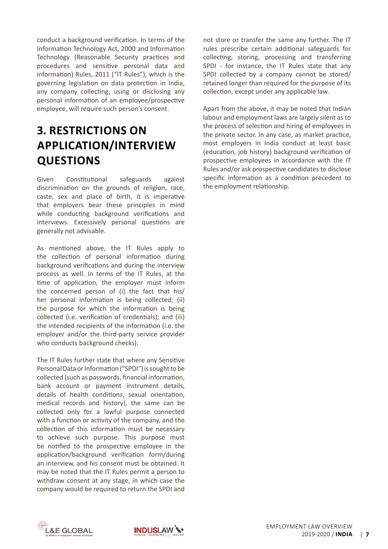conduct a background verification. In terms of the Information Technology Act, 2000 and Information Technology (Reasonable Security practices and procedures and sensitive personal data and information) Rules, 2011 ("IT Rules"), which is the governing legislation on data protection in India, any company collecting, using or disclosing any personal information of an employee/prospective employee, will require such person's consent.

## **3. Restrictions on Application/Interview Questions**

Given Constitutional safeguards against discrimination on the grounds of religion, race, caste, sex and place of birth, it is imperative that employers bear these principles in mind while conducting background verifications and interviews. Excessively personal questions are generally not advisable.

As mentioned above, the IT Rules apply to the collection of personal information during background verifications and during the interview process as well. In terms of the IT Rules, at the time of application, the employer must inform the concerned person of (i) the fact that his/ her personal information is being collected; (ii) the purpose for which the information is being collected (i.e. verification of credentials); and (iii) the intended recipients of the information (i.e. the employer and/or the third-party service provider who conducts background checks).

The IT Rules further state that where any Sensitive Personal Data or Information ("SPDI") is sought to be collected (such as passwords, financial information, bank account or payment instrument details, details of health conditions, sexual orientation, medical records and history), the same can be collected only for a lawful purpose connected with a function or activity of the company, and the collection of this information must be necessary to achieve such purpose. This purpose must be notified to the prospective employee in the application/background verification form/during an interview, and his consent must be obtained. It may be noted that the IT Rules permit a person to withdraw consent at any stage, in which case the company would be required to return the SPDI and not store or transfer the same any further. The IT rules prescribe certain additional safeguards for collecting, storing, processing and transferring SPDI - for instance, the IT Rules state that any SPDI collected by a company cannot be stored/ retained longer than required for the purpose of its collection, except under any applicable law.

Apart from the above, it may be noted that Indian labour and employment laws are largely silent as to the process of selection and hiring of employees in the private sector. In any case, as market practice, most employers in India conduct at least basic (education, job history) background verification of prospective employees in accordance with the IT Rules and/or ask prospective candidates to disclose specific information as a condition precedent to the employment relationship.



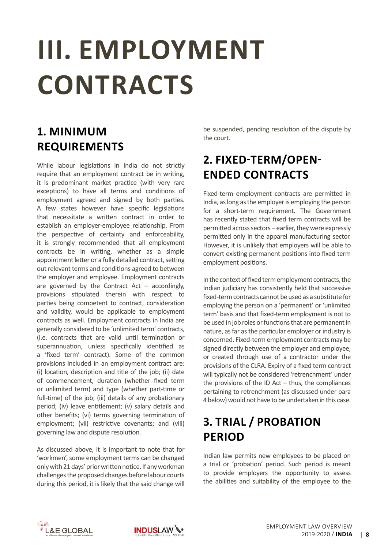# <span id="page-9-0"></span>**iII. EMPLOYMENT CONTRACTS**

## **1. Minimum Requirements**

While labour legislations in India do not strictly require that an employment contract be in writing, it is predominant market practice (with very rare exceptions) to have all terms and conditions of employment agreed and signed by both parties. A few states however have specific legislations that necessitate a written contract in order to establish an employer-employee relationship. From the perspective of certainty and enforceability, it is strongly recommended that all employment contracts be in writing, whether as a simple appointment letter or a fully detailed contract, setting out relevant terms and conditions agreed to between the employer and employee. Employment contracts are governed by the Contract Act  $-$  accordingly, provisions stipulated therein with respect to parties being competent to contract, consideration and validity, would be applicable to employment contracts as well. Employment contracts in India are generally considered to be 'unlimited term' contracts, (i.e. contracts that are valid until termination or superannuation, unless specifically identified as a 'fixed term' contract). Some of the common provisions included in an employment contract are: (i) location, description and title of the job; (ii) date of commencement, duration (whether fixed term or unlimited term) and type (whether part-time or full-time) of the job; (iii) details of any probationary period; (iv) leave entitlement; (v) salary details and other benefits; (vi) terms governing termination of employment; (vii) restrictive covenants; and (viii) governing law and dispute resolution.

As discussed above, it is important to note that for 'workmen', some employment terms can be changed only with 21 days' prior written notice. If any workman challenges the proposed changes before labour courts during this period, it is likely that the said change will

be suspended, pending resolution of the dispute by the court.

## **2. Fixed-term/Openended Contracts**

Fixed-term employment contracts are permitted in India, as long as the employer is employing the person for a short-term requirement. The Government has recently stated that fixed term contracts will be permitted across sectors – earlier, they were expressly permitted only in the apparel manufacturing sector. However, it is unlikely that employers will be able to convert existing permanent positions into fixed term employment positions.

In the context of fixed term employment contracts, the Indian judiciary has consistently held that successive fixed-term contracts cannot be used as a substitute for employing the person on a 'permanent' or 'unlimited term' basis and that fixed-term employment is not to be used in job roles or functions that are permanent in nature, as far as the particular employer or industry is concerned. Fixed-term employment contracts may be signed directly between the employer and employee, or created through use of a contractor under the provisions of the CLRA. Expiry of a fixed term contract will typically not be considered 'retrenchment' under the provisions of the ID Act  $-$  thus, the compliances pertaining to retrenchment (as discussed under para 4 below)would not have to be undertaken in this case.

## **3. Trial / Probation Period**

Indian law permits new employees to be placed on a trial or 'probation' period. Such period is meant to provide employers the opportunity to assess the abilities and suitability of the employee to the



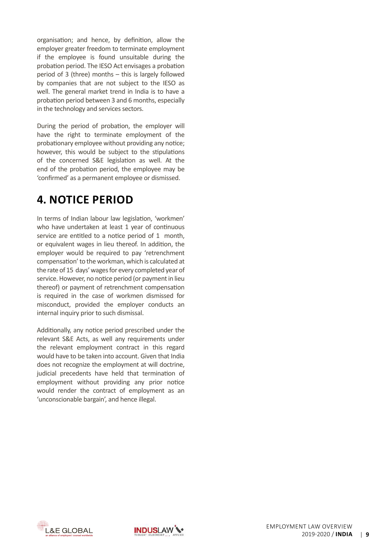organisation; and hence, by definition, allow the employer greater freedom to terminate employment if the employee is found unsuitable during the probation period. The IESO Act envisages a probation period of 3 (three) months – this is largely followed by companies that are not subject to the IESO as well. The general market trend in India is to have a probation period between 3 and 6 months, especially in the technology and services sectors.

During the period of probation, the employer will have the right to terminate employment of the probationary employee without providing any notice; however, this would be subject to the stipulations of the concerned S&E legislation as well. At the end of the probation period, the employee may be 'confirmed' as a permanent employee or dismissed.

### **4. Notice Period**

In terms of Indian labour law legislation, 'workmen' who have undertaken at least 1 year of continuous service are entitled to a notice period of 1 month, or equivalent wages in lieu thereof. In addition, the employer would be required to pay 'retrenchment compensation'to the workman, which is calculated at the rate of 15 days' wages for every completed year of service. However, no notice period (or payment in lieu thereof) or payment of retrenchment compensation is required in the case of workmen dismissed for misconduct, provided the employer conducts an internal inquiry prior to such dismissal.

Additionally, any notice period prescribed under the relevant S&E Acts, as well any requirements under the relevant employment contract in this regard would have to be taken into account. Given that India does not recognize the employment at will doctrine, judicial precedents have held that termination of employment without providing any prior notice would render the contract of employment as an 'unconscionable bargain', and hence illegal.



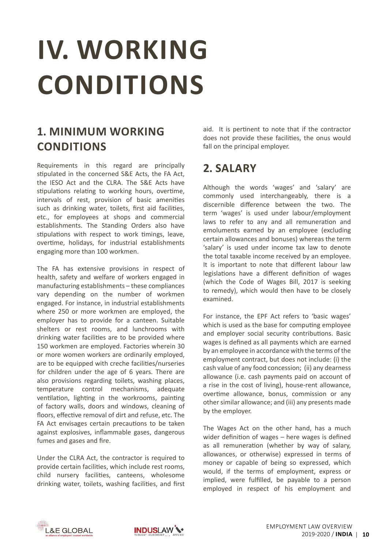# <span id="page-11-0"></span>**IV. WORKING CONDITIONS**

## **1. Minimum Working Conditions**

Requirements in this regard are principally stipulated in the concerned S&E Acts, the FA Act, the IESO Act and the CLRA. The S&E Acts have stipulations relating to working hours, overtime, intervals of rest, provision of basic amenities such as drinking water, toilets, first aid facilities, etc., for employees at shops and commercial establishments. The Standing Orders also have stipulations with respect to work timings, leave, overtime, holidays, for industrial establishments engaging more than 100 workmen.

The FA has extensive provisions in respect of health, safety and welfare of workers engaged in manufacturing establishments – these compliances vary depending on the number of workmen engaged. For instance, in industrial establishments where 250 or more workmen are employed, the employer has to provide for a canteen. Suitable shelters or rest rooms, and lunchrooms with drinking water facilities are to be provided where 150 workmen are employed. Factories wherein 30 or more women workers are ordinarily employed, are to be equipped with creche facilities/nurseries for children under the age of 6 years. There are also provisions regarding toilets, washing places, temperature control mechanisms, adequate ventilation, lighting in the workrooms, painting of factory walls, doors and windows, cleaning of floors, effective removal of dirt and refuse, etc. The FA Act envisages certain precautions to be taken against explosives, inflammable gases, dangerous fumes and gases and fire.

Under the CLRA Act, the contractor is required to provide certain facilities, which include rest rooms, child nursery facilities, canteens, wholesome drinking water, toilets, washing facilities, and first aid. It is pertinent to note that if the contractor does not provide these facilities, the onus would fall on the principal employer.

## **2. Salary**

Although the words 'wages' and 'salary' are commonly used interchangeably, there is a discernible difference between the two. The term 'wages' is used under labour/employment laws to refer to any and all remuneration and emoluments earned by an employee (excluding certain allowances and bonuses) whereas the term 'salary' is used under income tax law to denote the total taxable income received by an employee. It is important to note that different labour law legislations have a different definition of wages (which the Code of Wages Bill, 2017 is seeking to remedy), which would then have to be closely examined.

For instance, the EPF Act refers to 'basic wages' which is used as the base for computing employee and employer social security contributions. Basic wages is defined as all payments which are earned by an employee in accordance with the terms of the employment contract, but does not include: (i) the cash value of any food concession; (ii) any dearness allowance (i.e. cash payments paid on account of a rise in the cost of living), house-rent allowance, overtime allowance, bonus, commission or any other similar allowance; and (iii) any presents made by the employer.

The Wages Act on the other hand, has a much wider definition of wages – here wages is defined as all remuneration (whether by way of salary, allowances, or otherwise) expressed in terms of money or capable of being so expressed, which would, if the terms of employment, express or implied, were fulfilled, be payable to a person employed in respect of his employment and



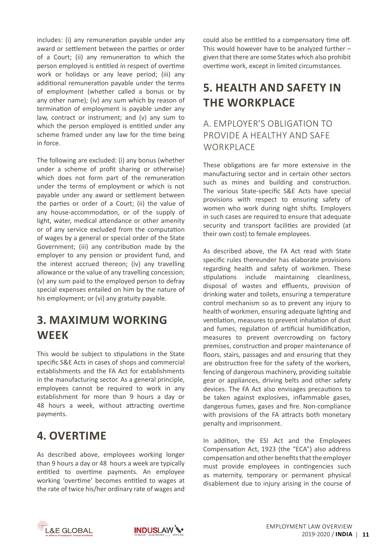includes: (i) any remuneration payable under any award or settlement between the parties or order of a Court; (ii) any remuneration to which the person employed is entitled in respect of overtime work or holidays or any leave period; (iii) any additional remuneration payable under the terms of employment (whether called a bonus or by any other name); (iv) any sum which by reason of termination of employment is payable under any law, contract or instrument; and (v) any sum to which the person employed is entitled under any scheme framed under any law for the time being in force.

The following are excluded: (i) any bonus (whether under a scheme of profit sharing or otherwise) which does not form part of the remuneration under the terms of employment or which is not payable under any award or settlement between the parties or order of a Court; (ii) the value of any house-accommodation, or of the supply of light, water, medical attendance or other amenity or of any service excluded from the computation of wages by a general or special order of the State Government; (iii) any contribution made by the employer to any pension or provident fund, and the interest accrued thereon; (iv) any travelling allowance or the value of any travelling concession; (v) any sum paid to the employed person to defray special expenses entailed on him by the nature of his employment; or (vi) any gratuity payable.

### **3. Maximum Working Week**

This would be subject to stipulations in the State specific S&E Acts in cases of shops and commercial establishments and the FA Act for establishments in the manufacturing sector. As a general principle, employees cannot be required to work in any establishment for more than 9 hours a day or 48 hours a week, without attracting overtime payments.

### **4. Overtime**

As described above, employees working longer than 9 hours a day or 48 hours a week are typically entitled to overtime payments. An employee working 'overtime' becomes entitled to wages at the rate of twice his/her ordinary rate of wages and could also be entitled to a compensatory time off. This would however have to be analyzed further – given that there are some States which also prohibit overtime work, except in limited circumstances.

## **5. Health and Safety in the Workplace**

#### a. Employer's Obligation to Provide a Healthy and Safe WORKPI ACF

These obligations are far more extensive in the manufacturing sector and in certain other sectors such as mines and building and construction. The various State-specific S&E Acts have special provisions with respect to ensuring safety of women who work during night shifts. Employers in such cases are required to ensure that adequate security and transport facilities are provided (at their own cost) to female employees.

As described above, the FA Act read with State specific rules thereunder has elaborate provisions regarding health and safety of workmen. These stipulations include maintaining cleanliness, disposal of wastes and effluents, provision of drinking water and toilets, ensuring a temperature control mechanism so as to prevent any injury to health of workmen, ensuring adequate lighting and ventilation, measures to prevent inhalation of dust and fumes, regulation of artificial humidification, measures to prevent overcrowding on factory premises, construction and proper maintenance of floors, stairs, passages and and ensuring that they are obstruction free for the safety of the workers, fencing of dangerous machinery, providing suitable gear or appliances, driving belts and other safety devices. The FA Act also envisages precautions to be taken against explosives, inflammable gases, dangerous fumes, gases and fire. Non-compliance with provisions of the FA attracts both monetary penalty and imprisonment.

In addition, the ESI Act and the Employees Compensation Act, 1923 (the "ECA") also address compensation and other benefits that the employer must provide employees in contingencies such as maternity, temporary or permanent physical disablement due to injury arising in the course of



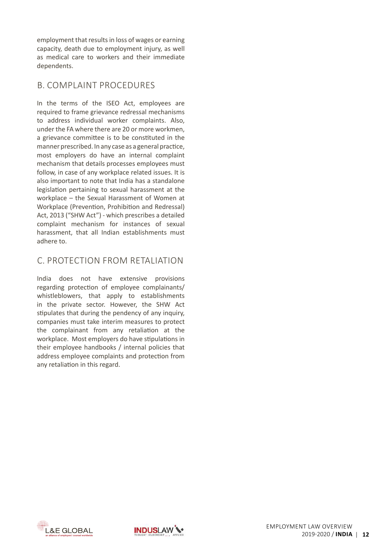employment that results in loss of wages or earning capacity, death due to employment injury, as well as medical care to workers and their immediate dependents.

#### b. Complaint Procedures

In the terms of the ISEO Act, employees are required to frame grievance redressal mechanisms to address individual worker complaints. Also, under the FA where there are 20 or more workmen, a grievance committee is to be constituted in the manner prescribed. In any case as a general practice, most employers do have an internal complaint mechanism that details processes employees must follow, in case of any workplace related issues. It is also important to note that India has a standalone legislation pertaining to sexual harassment at the workplace – the Sexual Harassment of Women at Workplace (Prevention, Prohibition and Redressal) Act, 2013 ("SHW Act") - which prescribes a detailed complaint mechanism for instances of sexual harassment, that all Indian establishments must adhere to.

#### c. Protection from Retaliation

India does not have extensive provisions regarding protection of employee complainants/ whistleblowers, that apply to establishments in the private sector. However, the SHW Act stipulates that during the pendency of any inquiry, companies must take interim measures to protect the complainant from any retaliation at the workplace. Most employers do have stipulations in their employee handbooks / internal policies that address employee complaints and protection from any retaliation in this regard.



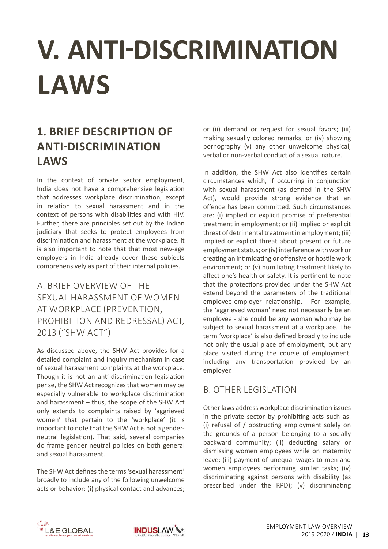# <span id="page-14-0"></span>**V. ANTI-DISCRIMINATION LAWS**

## **1. Brief Description of Anti-Discrimination Laws**

In the context of private sector employment, India does not have a comprehensive legislation that addresses workplace discrimination, except in relation to sexual harassment and in the context of persons with disabilities and with HIV. Further, there are principles set out by the Indian judiciary that seeks to protect employees from discrimination and harassment at the workplace. It is also important to note that that most new-age employers in India already cover these subjects comprehensively as part of their internal policies.

### a. Brief Overview of the Sexual Harassment of Women at Workplace (Prevention, Prohibition and Redressal) Act, 2013 ("SHW ACT")

As discussed above, the SHW Act provides for a detailed complaint and inquiry mechanism in case of sexual harassment complaints at the workplace. Though it is not an anti-discrimination legislation per se, the SHW Act recognizes that women may be especially vulnerable to workplace discrimination and harassment – thus, the scope of the SHW Act only extends to complaints raised by 'aggrieved women' that pertain to the 'workplace' (it is important to note that the SHW Act is not a genderneutral legislation). That said, several companies do frame gender neutral policies on both general and sexual harassment.

The SHW Act defines the terms 'sexual harassment' broadly to include any of the following unwelcome acts or behavior: (i) physical contact and advances; or (ii) demand or request for sexual favors; (iii) making sexually colored remarks; or (iv) showing pornography (v) any other unwelcome physical, verbal or non-verbal conduct of a sexual nature.

In addition, the SHW Act also identifies certain circumstances which, if occurring in conjunction with sexual harassment (as defined in the SHW Act), would provide strong evidence that an offence has been committed. Such circumstances are: (i) implied or explicit promise of preferential treatment in employment; or (ii) implied or explicit threat of detrimental treatment in employment; (iii) implied or explicit threat about present or future employment status; or (iv) interference with work or creating an intimidating or offensive or hostile work environment; or (v) humiliating treatment likely to affect one's health or safety. It is pertinent to note that the protections provided under the SHW Act extend beyond the parameters of the traditional employee-employer relationship. For example, the 'aggrieved woman' need not necessarily be an employee - she could be any woman who may be subject to sexual harassment at a workplace. The term 'workplace' is also defined broadly to include not only the usual place of employment, but any place visited during the course of employment, including any transportation provided by an employer.

#### b. Other Legislation

Other laws address workplace discrimination issues in the private sector by prohibiting acts such as: (i) refusal of / obstructing employment solely on the grounds of a person belonging to a socially backward community; (ii) deducting salary or dismissing women employees while on maternity leave; (iii) payment of unequal wages to men and women employees performing similar tasks; (iv) discriminating against persons with disability (as prescribed under the RPD); (v) discriminating



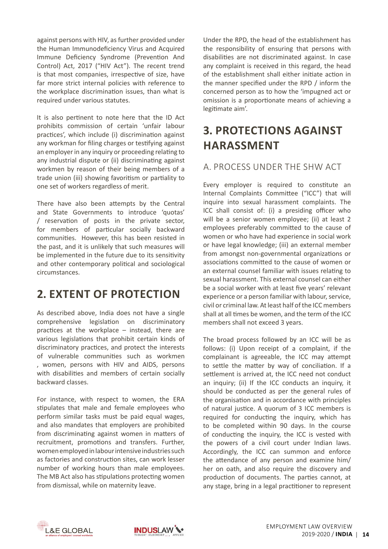against persons with HIV, as further provided under the Human Immunodeficiency Virus and Acquired Immune Deficiency Syndrome (Prevention And Control) Act, 2017 ("HIV Act"). The recent trend is that most companies, irrespective of size, have far more strict internal policies with reference to the workplace discrimination issues, than what is required under various statutes.

It is also pertinent to note here that the ID Act prohibits commission of certain 'unfair labour practices', which include (i) discrimination against any workman for filing charges or testifying against an employer in any inquiry or proceeding relating to any industrial dispute or (ii) discriminating against workmen by reason of their being members of a trade union (iii) showing favoritism or partiality to one set of workers regardless of merit.

There have also been attempts by the Central and State Governments to introduce 'quotas' / reservation of posts in the private sector, for members of particular socially backward communities. However, this has been resisted in the past, and it is unlikely that such measures will be implemented in the future due to its sensitivity and other contemporary political and sociological circumstances.

## **2. Extent of Protection**

As described above, India does not have a single comprehensive legislation on discriminatory practices at the workplace – instead, there are various legislations that prohibit certain kinds of discriminatory practices, and protect the interests of vulnerable communities such as workmen , women, persons with HIV and AIDS, persons with disabilities and members of certain socially backward classes.

For instance, with respect to women, the ERA stipulates that male and female employees who perform similar tasks must be paid equal wages, and also mandates that employers are prohibited from discriminating against women in matters of recruitment, promotions and transfers. Further, women employed in labour intensive industries such as factories and construction sites, can work lesser number of working hours than male employees. The MB Act also has stipulations protecting women from dismissal, while on maternity leave.

Under the RPD, the head of the establishment has the responsibility of ensuring that persons with disabilities are not discriminated against. In case any complaint is received in this regard, the head of the establishment shall either initiate action in the manner specified under the RPD / inform the concerned person as to how the 'impugned act or omission is a proportionate means of achieving a legitimate aim'.

## **3. Protections Against Harassment**

#### a. Process under the SHW Act

Every employer is required to constitute an Internal Complaints Committee ("ICC") that will inquire into sexual harassment complaints. The ICC shall consist of: (i) a presiding officer who will be a senior women employee; (ii) at least 2 employees preferably committed to the cause of women or who have had experience in social work or have legal knowledge; (iii) an external member from amongst non-governmental organizations or associations committed to the cause of women or an external counsel familiar with issues relating to sexual harassment. This external counsel can either be a social worker with at least five years' relevant experience or a person familiar with labour, service, civil or criminal law. At least half of the ICC members shall at all times be women, and the term of the ICC members shall not exceed 3 years.

The broad process followed by an ICC will be as follows: (i) Upon receipt of a complaint, if the complainant is agreeable, the ICC may attempt to settle the matter by way of conciliation. If a settlement is arrived at, the ICC need not conduct an inquiry; (ii) If the ICC conducts an inquiry, it should be conducted as per the general rules of the organisation and in accordance with principles of natural justice. A quorum of 3 ICC members is required for conducting the inquiry, which has to be completed within 90 days. In the course of conducting the inquiry, the ICC is vested with the powers of a civil court under Indian laws. Accordingly, the ICC can summon and enforce the attendance of any person and examine him/ her on oath, and also require the discovery and production of documents. The parties cannot, at any stage, bring in a legal practitioner to represent



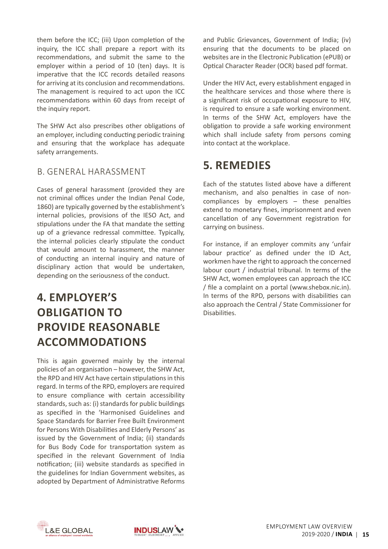them before the ICC; (iii) Upon completion of the inquiry, the ICC shall prepare a report with its recommendations, and submit the same to the employer within a period of 10 (ten) days. It is imperative that the ICC records detailed reasons for arriving at its conclusion and recommendations. The management is required to act upon the ICC recommendations within 60 days from receipt of the inquiry report.

The SHW Act also prescribes other obligations of an employer, including conducting periodic training and ensuring that the workplace has adequate safety arrangements.

#### b. General Harassment

Cases of general harassment (provided they are not criminal offices under the Indian Penal Code, 1860) are typically governed by the establishment's internal policies, provisions of the IESO Act, and stipulations under the FA that mandate the setting up of a grievance redressal committee. Typically, the internal policies clearly stipulate the conduct that would amount to harassment, the manner of conducting an internal inquiry and nature of disciplinary action that would be undertaken, depending on the seriousness of the conduct.

## **4. Employer's Obligation to Provide Reasonable Accommodations**

This is again governed mainly by the internal policies of an organisation – however, the SHW Act, the RPD and HIV Act have certain stipulations in this regard. In terms of the RPD, employers are required to ensure compliance with certain accessibility standards, such as: (i) standards for public buildings as specified in the 'Harmonised Guidelines and Space Standards for Barrier Free Built Environment for Persons With Disabilities and Elderly Persons' as issued by the Government of India; (ii) standards for Bus Body Code for transportation system as specified in the relevant Government of India notification; (iii) website standards as specified in the guidelines for Indian Government websites, as adopted by Department of Administrative Reforms and Public Grievances, Government of India; (iv) ensuring that the documents to be placed on websites are in the Electronic Publication (ePUB) or Optical Character Reader (OCR) based pdf format.

Under the HIV Act, every establishment engaged in the healthcare services and those where there is a significant risk of occupational exposure to HIV, is required to ensure a safe working environment. In terms of the SHW Act, employers have the obligation to provide a safe working environment which shall include safety from persons coming into contact at the workplace.

### **5. Remedies**

Each of the statutes listed above have a different mechanism, and also penalties in case of noncompliances by employers – these penalties extend to monetary fines, imprisonment and even cancellation of any Government registration for carrying on business.

For instance, if an employer commits any 'unfair labour practice' as defined under the ID Act, workmen have the right to approach the concerned labour court / industrial tribunal. In terms of the SHW Act, women employees can approach the ICC / file a complaint on a portal (www.shebox.nic.in). In terms of the RPD, persons with disabilities can also approach the Central / State Commissioner for Disabilities.



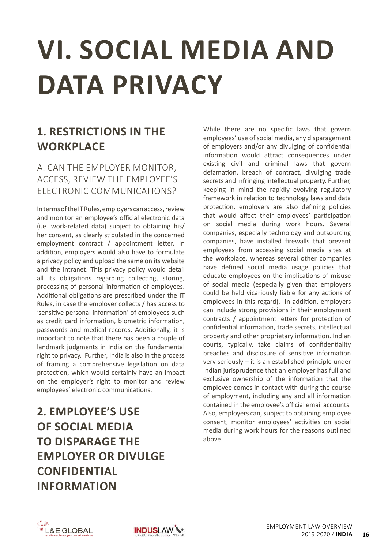# <span id="page-17-0"></span>**VI. SOCIAL MEDIA AND DATA PRIVACY**

## **1. Restrictions in the Workplace**

### a. Can the employer monitor, access, review the employee's electronic communications?

IntermsoftheITRules,employerscanaccess,review and monitor an employee's official electronic data (i.e. work-related data) subject to obtaining his/ her consent, as clearly stipulated in the concerned employment contract / appointment letter. In addition, employers would also have to formulate a privacy policy and upload the same on its website and the intranet. This privacy policy would detail all its obligations regarding collecting, storing, processing of personal information of employees. Additional obligations are prescribed under the IT Rules, in case the employer collects / has access to 'sensitive personal information' of employees such as credit card information, biometric information, passwords and medical records. Additionally, it is important to note that there has been a couple of landmark judgments in India on the fundamental right to privacy. Further, India is also in the process of framing a comprehensive legislation on data protection, which would certainly have an impact on the employer's right to monitor and review employees' electronic communications.

**2. Employee's Use of Social Media to Disparage the Employer or Divulge Confidential Information**

While there are no specific laws that govern employees' use of social media, any disparagement of employers and/or any divulging of confidential information would attract consequences under existing civil and criminal laws that govern defamation, breach of contract, divulging trade secrets and infringing intellectual property. Further, keeping in mind the rapidly evolving regulatory framework in relation to technology laws and data protection, employers are also defining policies that would affect their employees' participation on social media during work hours. Several companies, especially technology and outsourcing companies, have installed firewalls that prevent employees from accessing social media sites at the workplace, whereas several other companies have defined social media usage policies that educate employees on the implications of misuse of social media (especially given that employers could be held vicariously liable for any actions of employees in this regard). In addition, employers can include strong provisions in their employment contracts / appointment letters for protection of confidential information, trade secrets, intellectual property and other proprietary information. Indian courts, typically, take claims of confidentiality breaches and disclosure of sensitive information very seriously – it is an established principle under Indian jurisprudence that an employer has full and exclusive ownership of the information that the employee comes in contact with during the course of employment, including any and all information contained in the employee's official email accounts. Also, employers can, subject to obtaining employee consent, monitor employees' activities on social media during work hours for the reasons outlined above.

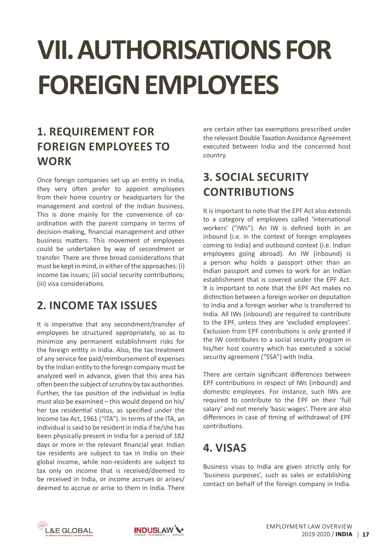# <span id="page-18-0"></span>**VII. AUTHORISATIONSFOR FOREIGNEMPLOYEES**

## **1. Requirement for Foreign Employees to Work**

Once foreign companies set up an entity in India, they very often prefer to appoint employees from their home country or headquarters for the management and control of the Indian business. This is done mainly for the convenience of coordination with the parent company in terms of decision-making, financial management and other business matters. This movement of employees could be undertaken by way of secondment or transfer. There are three broad considerations that must be kept in mind, in either of the approaches: (i) income tax issues; (ii) social security contributions; (iii) visa considerations.

## **2. Income Tax Issues**

It is imperative that any secondment/transfer of employees be structured appropriately, so as to minimize any permanent establishment risks for the foreign entity in India. Also, the tax treatment of any service fee paid/reimbursement of expenses by the Indian entity to the foreign company must be analyzed well in advance, given that this area has often been the subject of scrutiny by tax authorities. Further, the tax position of the individual in India must also be examined – this would depend on his/ her tax residential status, as specified under the Income tax Act, 1961 ("ITA"). In terms of the ITA, an individual is said to be resident in India if he/she has been physically present in India for a period of 182 days or more in the relevant financial year. Indian tax residents are subject to tax in India on their global income, while non-residents are subject to tax only on income that is received/deemed to be received in India, or income accrues or arises/ deemed to accrue or arise to them in India. There are certain other tax exemptions prescribed under the relevant Double Taxation Avoidance Agreement executed between India and the concerned host country.

## **3. Social Security Contributions**

It is important to note that the EPF Act also extends to a category of employees called 'international workers' ("IWs"). An IW is defined both in an inbound (i.e. in the context of foreign employees coming to India) and outbound context (i.e. Indian employees going abroad). An IW (inbound) is a person who holds a passport other than an Indian passport and comes to work for an Indian establishment that is covered under the EPF Act. It is important to note that the EPF Act makes no distinction between a foreign worker on deputation to India and a foreign worker who is transferred to India. All IWs (inbound) are required to contribute to the EPF, unless they are 'excluded employees'. Exclusion from EPF contributions is only granted if the IW contributes to a social security program in his/her host country which has executed a social security agreement ("SSA") with India.

There are certain significant differences between EPF contributions in respect of IWs (inbound) and domestic employees. For instance, such IWs are required to contribute to the EPF on their 'full salary' and not merely 'basic wages'. There are also differences in case of timing of withdrawal of EPF contributions.

## **4. Visas**

Business visas to India are given strictly only for 'business purposes', such as sales or establishing contact on behalf of the foreign company in India.



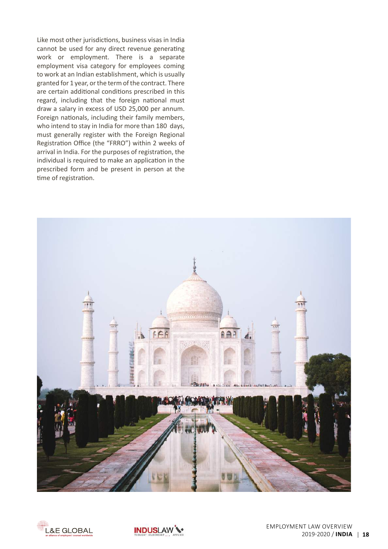Like most other jurisdictions, business visas in India cannot be used for any direct revenue generating work or employment. There is a separate employment visa category for employees coming to work at an Indian establishment, which is usually granted for 1 year, or the term of the contract. There are certain additional conditions prescribed in this regard, including that the foreign national must draw a salary in excess of USD 25,000 per annum. Foreign nationals, including their family members, who intend to stay in India for more than 180 days, must generally register with the Foreign Regional Registration Office (the "FRRO") within 2 weeks of arrival in India. For the purposes of registration, the individual is required to make an application in the prescribed form and be present in person at the time of registration.





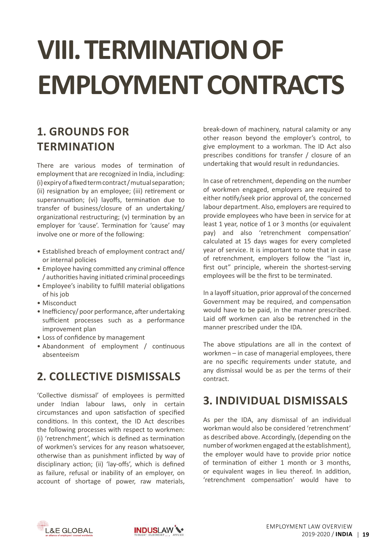# <span id="page-20-0"></span>**VIII. TERMINATION OF EMPLOYMENT CONTRACTS**

## **1. Grounds for Termination**

There are various modes of termination of employment that are recognized in India, including: (i)expiryofafixedtermcontract/mutualseparation; (ii) resignation by an employee; (iii) retirement or superannuation; (vi) layoffs, termination due to transfer of business/closure of an undertaking/ organizational restructuring; (v) termination by an employer for 'cause'. Termination for 'cause' may involve one or more of the following:

- Established breach of employment contract and/ or internal policies
- Employee having committed any criminal offence / authorities having initiated criminal proceedings
- Employee's inability to fulfill material obligations of his job
- Misconduct
- Inefficiency/ poor performance, after undertaking sufficient processes such as a performance improvement plan
- Loss of confidence by management
- Abandonment of employment / continuous absenteeism

## **2. Collective Dismissals**

'Collective dismissal' of employees is permitted under Indian labour laws, only in certain circumstances and upon satisfaction of specified conditions. In this context, the ID Act describes the following processes with respect to workmen: (i) 'retrenchment', which is defined as termination of workmen's services for any reason whatsoever, otherwise than as punishment inflicted by way of disciplinary action; (ii) 'lay-offs', which is defined as failure, refusal or inability of an employer, on account of shortage of power, raw materials, break-down of machinery, natural calamity or any other reason beyond the employer's control, to give employment to a workman. The ID Act also prescribes conditions for transfer / closure of an undertaking that would result in redundancies.

In case of retrenchment, depending on the number of workmen engaged, employers are required to either notify/seek prior approval of, the concerned labour department. Also, employers are required to provide employees who have been in service for at least 1 year, notice of 1 or 3 months (or equivalent pay) and also 'retrenchment compensation' calculated at 15 days wages for every completed year of service. It is important to note that in case of retrenchment, employers follow the "last in, first out" principle, wherein the shortest-serving employees will be the first to be terminated.

In a layoff situation, prior approval of the concerned Government may be required, and compensation would have to be paid, in the manner prescribed. Laid off workmen can also be retrenched in the manner prescribed under the IDA.

The above stipulations are all in the context of workmen – in case of managerial employees, there are no specific requirements under statute, and any dismissal would be as per the terms of their contract.

### **3. Individual Dismissals**

As per the IDA, any dismissal of an individual workman would also be considered 'retrenchment' as described above. Accordingly, (depending on the number of workmen engaged at the establishment), the employer would have to provide prior notice of termination of either 1 month or 3 months, or equivalent wages in lieu thereof. In addition, 'retrenchment compensation' would have to



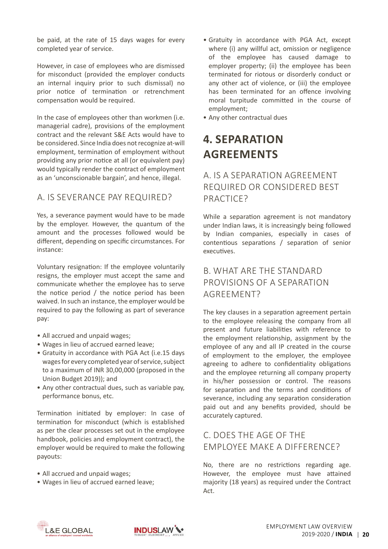be paid, at the rate of 15 days wages for every completed year of service.

However, in case of employees who are dismissed for misconduct (provided the employer conducts an internal inquiry prior to such dismissal) no prior notice of termination or retrenchment compensation would be required.

In the case of employees other than workmen (i.e. managerial cadre), provisions of the employment contract and the relevant S&E Acts would have to be considered. Since India does not recognize at-will employment, termination of employment without providing any prior notice at all (or equivalent pay) would typically render the contract of employment as an 'unconscionable bargain', and hence, illegal.

#### a. Is severance pay required?

Yes, a severance payment would have to be made by the employer. However, the quantum of the amount and the processes followed would be different, depending on specific circumstances. For instance:

Voluntary resignation: If the employee voluntarily resigns, the employer must accept the same and communicate whether the employee has to serve the notice period / the notice period has been waived. In such an instance, the employer would be required to pay the following as part of severance pay:

- All accrued and unpaid wages;
- • Wages in lieu of accrued earned leave;
- Gratuity in accordance with PGA Act (i.e.15 days wages for every completed year of service, subject to a maximum of INR 30,00,000 (proposed in the Union Budget 2019)); and
- Any other contractual dues, such as variable pay, performance bonus, etc.

Termination initiated by employer: In case of termination for misconduct (which is established as per the clear processes set out in the employee handbook, policies and employment contract), the employer would be required to make the following payouts:

- All accrued and unpaid wages;
- Wages in lieu of accrued earned leave;
- Gratuity in accordance with PGA Act, except where (i) any willful act, omission or negligence of the employee has caused damage to employer property; (ii) the employee has been terminated for riotous or disorderly conduct or any other act of violence, or (iii) the employee has been terminated for an offence involving moral turpitude committed in the course of employment;
- Any other contractual dues

## **4. Separation Agreements**

#### a. Is a Separation Agreement required or considered best practice?

While a separation agreement is not mandatory under Indian laws, it is increasingly being followed by Indian companies, especially in cases of contentious separations / separation of senior executives.

#### b. What are the standard provisions of a Separation AGRFFMFNT?

The key clauses in a separation agreement pertain to the employee releasing the company from all present and future liabilities with reference to the employment relationship, assignment by the employee of any and all IP created in the course of employment to the employer, the employee agreeing to adhere to confidentiality obligations and the employee returning all company property in his/her possession or control. The reasons for separation and the terms and conditions of severance, including any separation consideration paid out and any benefits provided, should be accurately captured.

#### c. Does the age of the employee make a difference?

No, there are no restrictions regarding age. However, the employee must have attained majority (18 years) as required under the Contract Act.



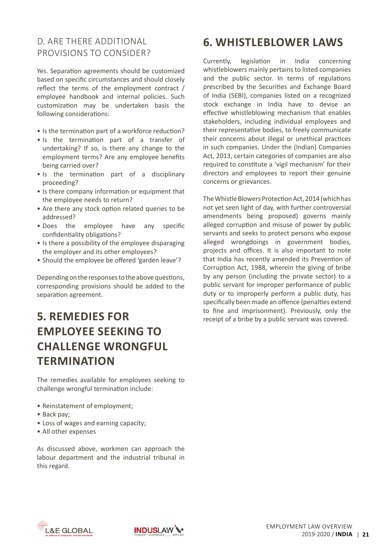### d. Are there additional provisions to consider?

Yes. Separation agreements should be customized based on specific circumstances and should closely reflect the terms of the employment contract / employee handbook and internal policies. Such customization may be undertaken basis the following considerations:

- Is the termination part of a workforce reduction?
- Is the termination part of a transfer of undertaking? If so, is there any change to the employment terms? Are any employee benefits being carried over?
- Is the termination part of a disciplinary proceeding?
- Is there company information or equipment that the employee needs to return?
- Are there any stock option related queries to be addressed?
- Does the employee have any specific confidentiality obligations?
- Is there a possibility of the employee disparaging the employer and its other employees?
- Should the employee be offered 'garden leave'?

Depending on the responses to the above questions, corresponding provisions should be added to the separation agreement.

## **5. Remedies for employee seeking to challenge wrongful termination**

The remedies available for employees seeking to challenge wrongful termination include:

- Reinstatement of employment;
- Back pay;
- Loss of wages and earning capacity;
- All other expenses

As discussed above, workmen can approach the labour department and the industrial tribunal in this regard.

## **6. Whistleblower Laws**

Currently, legislation in India concerning whistleblowers mainly pertains to listed companies and the public sector. In terms of regulations prescribed by the Securities and Exchange Board of India (SEBI), companies listed on a recognized stock exchange in India have to devise an effective whistleblowing mechanism that enables stakeholders, including individual employees and their representative bodies, to freely communicate their concerns about illegal or unethical practices in such companies. Under the (Indian) Companies Act, 2013, certain categories of companies are also required to constitute a 'vigil mechanism' for their directors and employees to report their genuine concerns or grievances.

The Whistle Blowers Protection Act, 2014 (which has not yet seen light of day, with further controversial amendments being proposed) governs mainly alleged corruption and misuse of power by public servants and seeks to protect persons who expose alleged wrongdoings in government bodies, projects and offices. It is also important to note that India has recently amended its Prevention of Corruption Act, 1988, wherein the giving of bribe by any person (including the private sector) to a public servant for improper performance of public duty or to improperly perform a public duty, has specifically been made an offence (penalties extend to fine and imprisonment). Previously, only the receipt of a bribe by a public servant was covered.



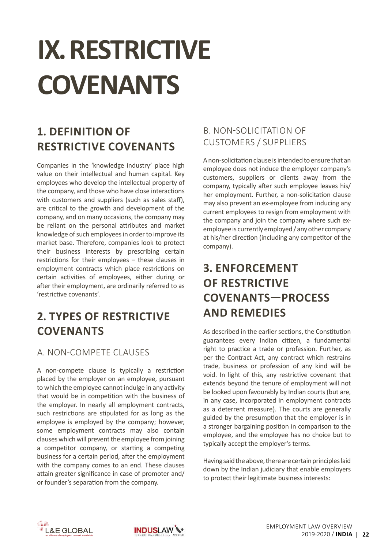# <span id="page-23-0"></span>**IX. RESTRICTIVE COVENANTS**

## **1. Definition of Restrictive Covenants**

Companies in the 'knowledge industry' place high value on their intellectual and human capital. Key employees who develop the intellectual property of the company, and those who have close interactions with customers and suppliers (such as sales staff), are critical to the growth and development of the company, and on many occasions, the company may be reliant on the personal attributes and market knowledge of such employees in order to improve its market base. Therefore, companies look to protect their business interests by prescribing certain restrictions for their employees – these clauses in employment contracts which place restrictions on certain activities of employees, either during or after their employment, are ordinarily referred to as 'restrictive covenants'.

## **2. Types of Restrictive Covenants**

#### a. Non-Compete Clauses

A non-compete clause is typically a restriction placed by the employer on an employee, pursuant to which the employee cannot indulge in any activity that would be in competition with the business of the employer. In nearly all employment contracts, such restrictions are stipulated for as long as the employee is employed by the company; however, some employment contracts may also contain clauses which will prevent the employee from joining a competitor company, or starting a competing business for a certain period, after the employment with the company comes to an end. These clauses attain greater significance in case of promoter and/ or founder's separation from the company.

### b. Non-solicitation of Customers / Suppliers

A non-solicitation clause is intended to ensure that an employee does not induce the employer company's customers, suppliers or clients away from the company, typically after such employee leaves his/ her employment. Further, a non-solicitation clause may also prevent an ex-employee from inducing any current employees to resign from employment with the company and join the company where such exemployee is currently employed / any other company at his/her direction (including any competitor of the company).

## **3. Enforcement of Restrictive Covenants—process and remedies**

As described in the earlier sections, the Constitution guarantees every Indian citizen, a fundamental right to practice a trade or profession. Further, as per the Contract Act, any contract which restrains trade, business or profession of any kind will be void. In light of this, any restrictive covenant that extends beyond the tenure of employment will not be looked upon favourably by Indian courts(but are, in any case, incorporated in employment contracts as a deterrent measure). The courts are generally guided by the presumption that the employer is in a stronger bargaining position in comparison to the employee, and the employee has no choice but to typically accept the employer's terms.

Having said the above, there are certain principles laid down by the Indian judiciary that enable employers to protect their legitimate business interests:



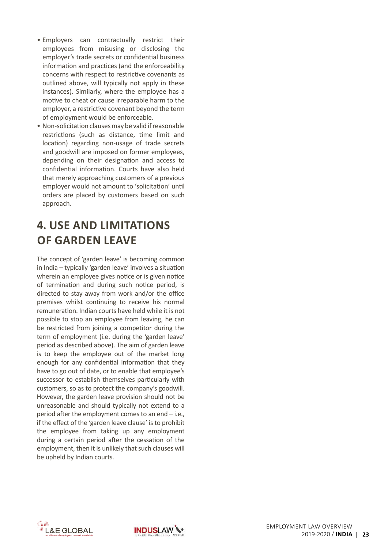- • Employers can contractually restrict their employees from misusing or disclosing the employer's trade secrets or confidential business information and practices (and the enforceability concerns with respect to restrictive covenants as outlined above, will typically not apply in these instances). Similarly, where the employee has a motive to cheat or cause irreparable harm to the employer, a restrictive covenant beyond the term of employment would be enforceable.
- Non-solicitation clauses may be valid if reasonable restrictions (such as distance, time limit and location) regarding non-usage of trade secrets and goodwill are imposed on former employees, depending on their designation and access to confidential information. Courts have also held that merely approaching customers of a previous employer would not amount to 'solicitation' until orders are placed by customers based on such approach.

## **4. Use and Limitations of Garden Leave**

The concept of 'garden leave' is becoming common in India – typically 'garden leave' involves a situation wherein an employee gives notice or is given notice of termination and during such notice period, is directed to stay away from work and/or the office premises whilst continuing to receive his normal remuneration. Indian courts have held while it is not possible to stop an employee from leaving, he can be restricted from joining a competitor during the term of employment (i.e. during the 'garden leave' period as described above). The aim of garden leave is to keep the employee out of the market long enough for any confidential information that they have to go out of date, or to enable that employee's successor to establish themselves particularly with customers, so as to protect the company's goodwill. However, the garden leave provision should not be unreasonable and should typically not extend to a period after the employment comes to an end – i.e., if the effect of the 'garden leave clause' is to prohibit the employee from taking up any employment during a certain period after the cessation of the employment, then it is unlikely that such clauses will be upheld by Indian courts.



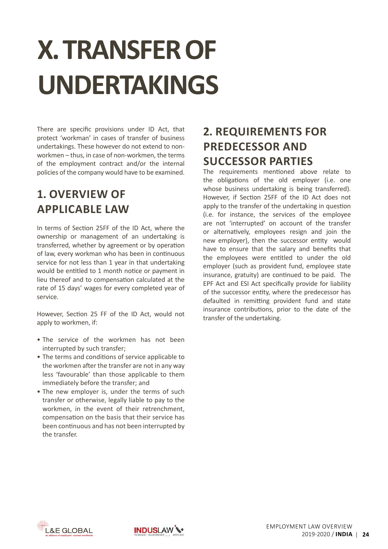## <span id="page-25-0"></span>**X. TRANSFEROF UNDERTAKINGS**

There are specific provisions under ID Act, that protect 'workman' in cases of transfer of business undertakings. These however do not extend to nonworkmen – thus, in case of non-workmen, the terms of the employment contract and/or the internal policies of the company would have to be examined.

## **1. Overview of Applicable Law**

In terms of Section 25FF of the ID Act, where the ownership or management of an undertaking is transferred, whether by agreement or by operation of law, every workman who has been in continuous service for not less than 1 year in that undertaking would be entitled to 1 month notice or payment in lieu thereof and to compensation calculated at the rate of 15 days' wages for every completed year of service.

However, Section 25 FF of the ID Act, would not apply to workmen, if:

- The service of the workmen has not been interrupted by such transfer;
- The terms and conditions of service applicable to the workmen after the transfer are not in any way less 'favourable' than those applicable to them immediately before the transfer; and
- The new employer is, under the terms of such transfer or otherwise, legally liable to pay to the workmen, in the event of their retrenchment, compensation on the basis that their service has been continuous and has not been interrupted by the transfer.

## **2. Requirements for Predecessor and Successor Parties**

The requirements mentioned above relate to the obligations of the old employer (i.e. one whose business undertaking is being transferred). However, if Section 25FF of the ID Act does not apply to the transfer of the undertaking in question (i.e. for instance, the services of the employee are not 'interrupted' on account of the transfer or alternatively, employees resign and join the new employer), then the successor entity would have to ensure that the salary and benefits that the employees were entitled to under the old employer (such as provident fund, employee state insurance, gratuity) are continued to be paid. The EPF Act and ESI Act specifically provide for liability of the successor entity, where the predecessor has defaulted in remitting provident fund and state insurance contributions, prior to the date of the transfer of the undertaking.



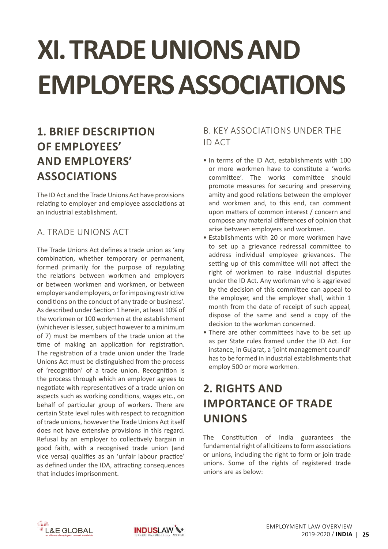# <span id="page-26-0"></span>**XI. TRADE UNIONS AND EMPLOYERSASSOCIATIONS**

## **1. Brief Description of Employees' and Employers' Associations**

The ID Act and the Trade Unions Act have provisions relating to employer and employee associations at an industrial establishment.

### a. Trade Unions Act

The Trade Unions Act defines a trade union as 'any combination, whether temporary or permanent, formed primarily for the purpose of regulating the relations between workmen and employers or between workmen and workmen, or between employersandemployers,orforimposingrestrictive conditions on the conduct of any trade or business'. As described under Section 1 herein, at least 10% of the workmen or 100 workmen at the establishment (whichever is lesser, subject however to a minimum of 7) must be members of the trade union at the time of making an application for registration. The registration of a trade union under the Trade Unions Act must be distinguished from the process of 'recognition' of a trade union. Recognition is the process through which an employer agrees to negotiate with representatives of a trade union on aspects such as working conditions, wages etc., on behalf of particular group of workers. There are certain State level rules with respect to recognition of trade unions, however the Trade Unions Act itself does not have extensive provisions in this regard. Refusal by an employer to collectively bargain in good faith, with a recognised trade union (and vice versa) qualifies as an 'unfair labour practice' as defined under the IDA, attracting consequences that includes imprisonment.

### b. Key Associations under the ID Act

- In terms of the ID Act, establishments with 100 or more workmen have to constitute a 'works committee'. The works committee should promote measures for securing and preserving amity and good relations between the employer and workmen and, to this end, can comment upon matters of common interest / concern and compose any material differences of opinion that arise between employers and workmen.
- Establishments with 20 or more workmen have to set up a grievance redressal committee to address individual employee grievances. The setting up of this committee will not affect the right of workmen to raise industrial disputes under the ID Act. Any workman who is aggrieved by the decision of this committee can appeal to the employer, and the employer shall, within 1 month from the date of receipt of such appeal, dispose of the same and send a copy of the decision to the workman concerned.
- There are other committees have to be set up as per State rules framed under the ID Act. For instance, in Gujarat, a 'joint management council' has to be formed in industrial establishments that employ 500 or more workmen.

## **2. Rights and Importance of Trade Unions**

The Constitution of India guarantees the fundamental right of all citizens to form associations or unions, including the right to form or join trade unions. Some of the rights of registered trade unions are as below:



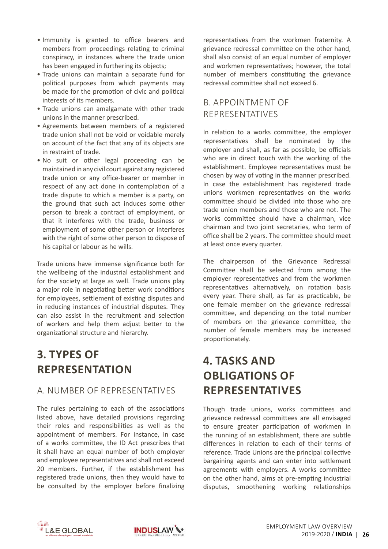- Immunity is granted to office bearers and members from proceedings relating to criminal conspiracy, in instances where the trade union has been engaged in furthering its objects;
- Trade unions can maintain a separate fund for political purposes from which payments may be made for the promotion of civic and political interests of its members.
- Trade unions can amalgamate with other trade unions in the manner prescribed.
- • Agreements between members of a registered trade union shall not be void or voidable merely on account of the fact that any of its objects are in restraint of trade.
- • No suit or other legal proceeding can be maintained in any civil court against any registered trade union or any office-bearer or member in respect of any act done in contemplation of a trade dispute to which a member is a party, on the ground that such act induces some other person to break a contract of employment, or that it interferes with the trade, business or employment of some other person or interferes with the right of some other person to dispose of his capital or labour as he wills.

Trade unions have immense significance both for the wellbeing of the industrial establishment and for the society at large as well. Trade unions play a major role in negotiating better work conditions for employees, settlement of existing disputes and in reducing instances of industrial disputes. They can also assist in the recruitment and selection of workers and help them adjust better to the organizational structure and hierarchy.

## **3. Types of Representation**

#### a. Number of Representatives

The rules pertaining to each of the associations listed above, have detailed provisions regarding their roles and responsibilities as well as the appointment of members. For instance, in case of a works committee, the ID Act prescribes that it shall have an equal number of both employer and employee representatives and shall not exceed 20 members. Further, if the establishment has registered trade unions, then they would have to be consulted by the employer before finalizing representatives from the workmen fraternity. A grievance redressal committee on the other hand, shall also consist of an equal number of employer and workmen representatives; however, the total number of members constituting the grievance redressal committee shall not exceed 6.

#### b. Appointment of Representatives

In relation to a works committee, the employer representatives shall be nominated by the employer and shall, as far as possible, be officials who are in direct touch with the working of the establishment. Employee representatives must be chosen by way of voting in the manner prescribed. In case the establishment has registered trade unions workmen representatives on the works committee should be divided into those who are trade union members and those who are not. The works committee should have a chairman, vice chairman and two joint secretaries, who term of office shall be 2 years. The committee should meet at least once every quarter.

The chairperson of the Grievance Redressal Committee shall be selected from among the employer representatives and from the workmen representatives alternatively, on rotation basis every year. There shall, as far as practicable, be one female member on the grievance redressal committee, and depending on the total number of members on the grievance committee, the number of female members may be increased proportionately.

## **4. Tasks and Obligations of Representatives**

Though trade unions, works committees and grievance redressal committees are all envisaged to ensure greater participation of workmen in the running of an establishment, there are subtle differences in relation to each of their terms of reference. Trade Unions are the principal collective bargaining agents and can enter into settlement agreements with employers. A works committee on the other hand, aims at pre-empting industrial disputes, smoothening working relationships



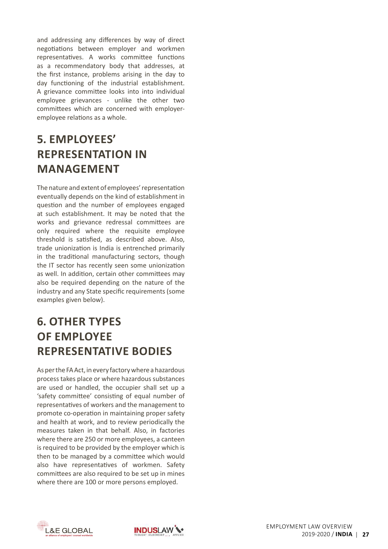and addressing any differences by way of direct negotiations between employer and workmen representatives. A works committee functions as a recommendatory body that addresses, at the first instance, problems arising in the day to day functioning of the industrial establishment. A grievance committee looks into into individual employee grievances - unlike the other two committees which are concerned with employeremployee relations as a whole.

## **5. Employees' Representation in Management**

The nature and extent of employees'representation eventually depends on the kind of establishment in question and the number of employees engaged at such establishment. It may be noted that the works and grievance redressal committees are only required where the requisite employee threshold is satisfied, as described above. Also, trade unionization is India is entrenched primarily in the traditional manufacturing sectors, though the IT sector has recently seen some unionization as well. In addition, certain other committees may also be required depending on the nature of the industry and any State specific requirements (some examples given below).

## **6. Other Types of Employee Representative Bodies**

As per the FA Act, in every factory where a hazardous process takes place or where hazardous substances are used or handled, the occupier shall set up a 'safety committee' consisting of equal number of representatives of workers and the management to promote co-operation in maintaining proper safety and health at work, and to review periodically the measures taken in that behalf. Also, in factories where there are 250 or more employees, a canteen is required to be provided by the employer which is then to be managed by a committee which would also have representatives of workmen. Safety committees are also required to be set up in mines where there are 100 or more persons employed.



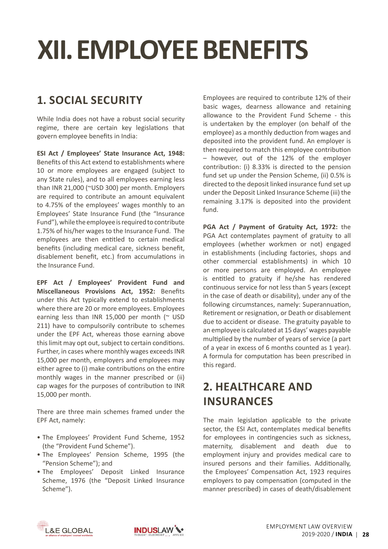## **XII. EMPLOYEE BENEFITS**

## **1. Social Security**

While India does not have a robust social security regime, there are certain key legislations that govern employee benefits in India:

**ESI Act / Employees' State Insurance Act, 1948:** Benefits of this Act extend to establishments where 10 or more employees are engaged (subject to any State rules), and to all employees earning less than INR 21,000 (~USD 300) per month. Employers are required to contribute an amount equivalent to 4.75% of the employees' wages monthly to an Employees' State Insurance Fund (the "Insurance Fund"), while the employee is required to contribute 1.75% of his/her wages to the Insurance Fund. The employees are then entitled to certain medical benefits (including medical care, sickness benefit, disablement benefit, etc.) from accumulations in the Insurance Fund.

**EPF Act / Employees' Provident Fund and Miscellaneous Provisions Act, 1952:** Benefits under this Act typically extend to establishments where there are 20 or more employees. Employees earning less than INR 15,000 per month ( $\sim$  USD 211) have to compulsorily contribute to schemes under the EPF Act, whereas those earning above this limit may opt out, subject to certain conditions. Further, in cases where monthly wages exceeds INR 15,000 per month, employers and employees may either agree to (i) make contributions on the entire monthly wages in the manner prescribed or (ii) cap wages for the purposes of contribution to INR 15,000 per month.

There are three main schemes framed under the EPF Act, namely:

- The Employees' Provident Fund Scheme, 1952 (the "Provident Fund Scheme").
- The Employees' Pension Scheme, 1995 (the "Pension Scheme"); and
- The Employees' Deposit Linked Insurance Scheme, 1976 (the "Deposit Linked Insurance Scheme").

Employees are required to contribute 12% of their basic wages, dearness allowance and retaining allowance to the Provident Fund Scheme - this is undertaken by the employer (on behalf of the employee) as a monthly deduction from wages and deposited into the provident fund. An employer is then required to match this employee contribution – however, out of the 12% of the employer contribution: (i) 8.33% is directed to the pension fund set up under the Pension Scheme, (ii) 0.5% is directed to the deposit linked insurance fund set up under the Deposit Linked Insurance Scheme (iii) the remaining 3.17% is deposited into the provident fund.

**PGA Act / Payment of Gratuity Act, 1972:** the PGA Act contemplates payment of gratuity to all employees (whether workmen or not) engaged in establishments (including factories, shops and other commercial establishments) in which 10 or more persons are employed. An employee is entitled to gratuity if he/she has rendered continuous service for not less than 5 years (except in the case of death or disability), under any of the following circumstances, namely: Superannuation, Retirement or resignation, or Death or disablement due to accident or disease. The gratuity payable to an employee is calculated at 15 days' wages payable multiplied by the number of years of service (a part of a year in excess of 6 months counted as 1 year). A formula for computation has been prescribed in this regard.

## **2. Healthcare and Insurances**

The main legislation applicable to the private sector, the ESI Act, contemplates medical benefits for employees in contingencies such as sickness, maternity, disablement and death due to employment injury and provides medical care to insured persons and their families. Additionally, the Employees' Compensation Act, 1923 requires employers to pay compensation (computed in the manner prescribed) in cases of death/disablement



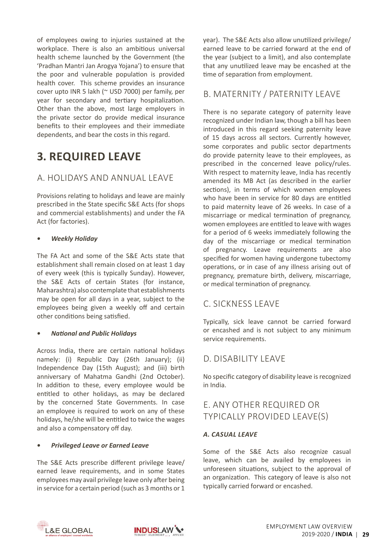of employees owing to injuries sustained at the workplace. There is also an ambitious universal health scheme launched by the Government (the 'Pradhan Mantri Jan Arogya Yojana') to ensure that the poor and vulnerable population is provided health cover. This scheme provides an insurance cover upto INR 5 lakh (~ USD 7000) per family, per year for secondary and tertiary hospitalization. Other than the above, most large employers in the private sector do provide medical insurance benefits to their employees and their immediate dependents, and bear the costs in this regard.

## **3. Required Leave**

#### a. Holidays and Annual Leave

Provisions relating to holidays and leave are mainly prescribed in the State specific S&E Acts (for shops and commercial establishments) and under the FA Act (for factories).

#### *• Weekly Holiday*

The FA Act and some of the S&E Acts state that establishment shall remain closed on at least 1 day of every week (this is typically Sunday). However, the S&E Acts of certain States (for instance, Maharashtra) also contemplate that establishments may be open for all days in a year, subject to the employees being given a weekly off and certain other conditions being satisfied.

#### *• National and Public Holidays*

Across India, there are certain national holidays namely: (i) Republic Day (26th January); (ii) Independence Day (15th August); and (iii) birth anniversary of Mahatma Gandhi (2nd October). In addition to these, every employee would be entitled to other holidays, as may be declared by the concerned State Governments. In case an employee is required to work on any of these holidays, he/she will be entitled to twice the wages and also a compensatory off day.

#### *• Privileged Leave or Earned Leave*

The S&E Acts prescribe different privilege leave/ earned leave requirements, and in some States employees may avail privilege leave only after being in service for a certain period (such as 3 months or 1 year). The S&E Acts also allow unutilized privilege/ earned leave to be carried forward at the end of the year (subject to a limit), and also contemplate that any unutilized leave may be encashed at the time of separation from employment.

#### b. Maternity / Paternity Leave

There is no separate category of paternity leave recognized under Indian law, though a bill has been introduced in this regard seeking paternity leave of 15 days across all sectors. Currently however, some corporates and public sector departments do provide paternity leave to their employees, as prescribed in the concerned leave policy/rules. With respect to maternity leave, India has recently amended its MB Act (as described in the earlier sections), in terms of which women employees who have been in service for 80 days are entitled to paid maternity leave of 26 weeks. In case of a miscarriage or medical termination of pregnancy, women employees are entitled to leave with wages for a period of 6 weeks immediately following the day of the miscarriage or medical termination of pregnancy. Leave requirements are also specified for women having undergone tubectomy operations, or in case of any illness arising out of pregnancy, premature birth, delivery, miscarriage, or medical termination of pregnancy.

#### c. Sickness Leave

Typically, sick leave cannot be carried forward or encashed and is not subject to any minimum service requirements.

#### d. Disability Leave

No specific category of disability leave is recognized in India.

#### e. Any Other Required or Typically Provided Leave(s)

#### *a. Casual Leave*

Some of the S&E Acts also recognize casual leave, which can be availed by employees in unforeseen situations, subject to the approval of an organization. This category of leave is also not typically carried forward or encashed.



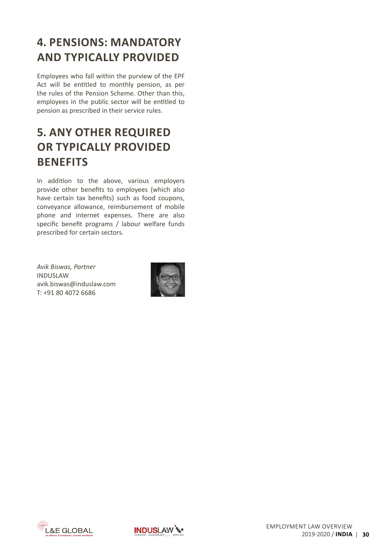## <span id="page-31-0"></span>**4. Pensions: Mandatory and Typically Provided**

Employees who fall within the purview of the EPF Act will be entitled to monthly pension, as per the rules of the Pension Scheme. Other than this, employees in the public sector will be entitled to pension as prescribed in their service rules.

## **5. Any Other Required or Typically Provided Benefits**

In addition to the above, various employers provide other benefits to employees (which also have certain tax benefits) such as food coupons, conveyance allowance, reimbursement of mobile phone and internet expenses. There are also specific benefit programs / labour welfare funds prescribed for certain sectors.

*Avik Biswas, Partner* INDUSLAW [avik.biswas@induslaw.com](mailto:avik.biswas%40induslaw.com%20?subject=) T: +91 80 4072 6686





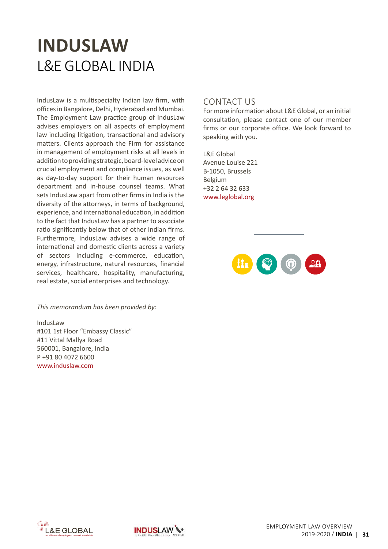## **INDUSLAW** L&E Global india

IndusLaw is a multispecialty Indian law firm, with officesin Bangalore, Delhi, Hyderabad and Mumbai. The Employment Law practice group of IndusLaw advises employers on all aspects of employment law including litigation, transactional and advisory matters. Clients approach the Firm for assistance in management of employment risks at all levels in addition to providing strategic, board-level advice on crucial employment and compliance issues, as well as day-to-day support for their human resources department and in-house counsel teams. What sets IndusLaw apart from other firms in India is the diversity of the attorneys, in terms of background, experience, and international education, in addition to the fact that IndusLaw has a partner to associate ratio significantly below that of other Indian firms. Furthermore, IndusLaw advises a wide range of international and domestic clients across a variety of sectors including e-commerce, education, energy, infrastructure, natural resources, financial services, healthcare, hospitality, manufacturing, real estate, social enterprises and technology.

#### *This memorandum has been provided by:*

IndusLaw #101 1st Floor "Embassy Classic" #11 Vittal Mallya Road 560001, Bangalore, India P +91 80 4072 6600 [www.induslaw.com](http://www.induslaw.com)

#### Contact Us

For more information about L&E Global, or an initial consultation, please contact one of our member firms or our corporate office. We look forward to speaking with you.

L&E Global Avenue Louise 221 B-1050, Brussels Belgium +32 2 64 32 633 www.leglobal.org